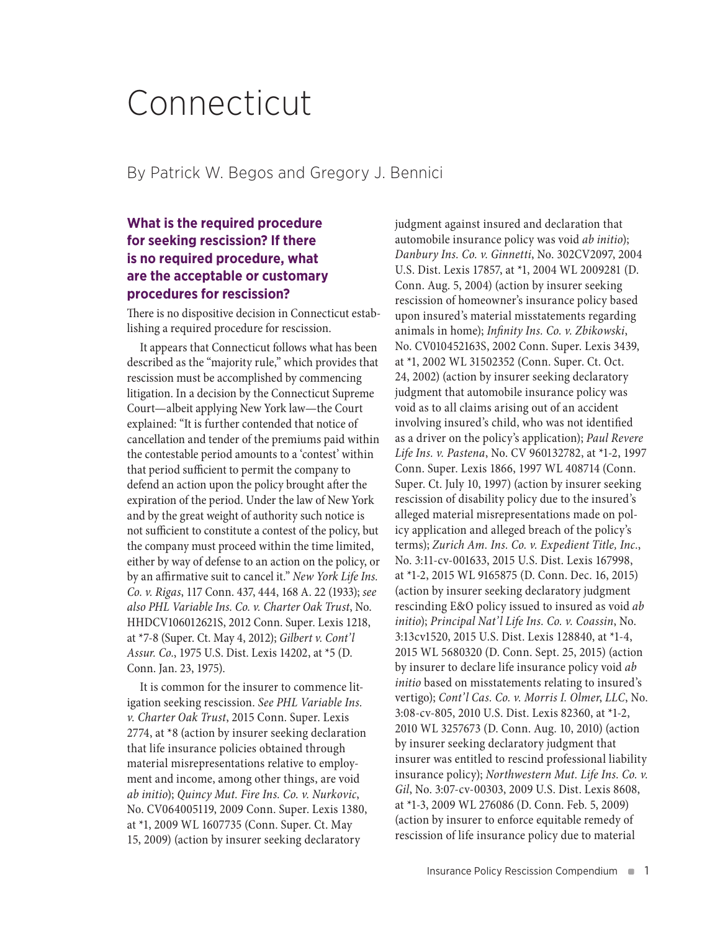# Connecticut

By Patrick W. Begos and Gregory J. Bennici

# **What is the required procedure for seeking rescission? If there is no required procedure, what are the acceptable or customary procedures for rescission?**

There is no dispositive decision in Connecticut establishing a required procedure for rescission.

It appears that Connecticut follows what has been described as the "majority rule," which provides that rescission must be accomplished by commencing litigation. In a decision by the Connecticut Supreme Court—albeit applying New York law—the Court explained: "It is further contended that notice of cancellation and tender of the premiums paid within the contestable period amounts to a 'contest' within that period sufficient to permit the company to defend an action upon the policy brought after the expiration of the period. Under the law of New York and by the great weight of authority such notice is not sufficient to constitute a contest of the policy, but the company must proceed within the time limited, either by way of defense to an action on the policy, or by an affirmative suit to cancel it." *New York Life Ins. Co. v. Rigas*, 117 Conn. 437, 444, 168 A. 22 (1933); *see also PHL Variable Ins. Co. v. Charter Oak Trust*, No. HHDCV106012621S, 2012 Conn. Super. Lexis 1218, at \*7-8 (Super. Ct. May 4, 2012); *Gilbert v. Cont'l Assur. Co.*, 1975 U.S. Dist. Lexis 14202, at \*5 (D. Conn. Jan. 23, 1975).

It is common for the insurer to commence litigation seeking rescission. *See PHL Variable Ins. v. Charter Oak Trust*, 2015 Conn. Super. Lexis 2774, at \*8 (action by insurer seeking declaration that life insurance policies obtained through material misrepresentations relative to employment and income, among other things, are void *ab initio*); *Quincy Mut. Fire Ins. Co. v. Nurkovic*, No. CV064005119, 2009 Conn. Super. Lexis 1380, at \*1, 2009 WL 1607735 (Conn. Super. Ct. May 15, 2009) (action by insurer seeking declaratory

judgment against insured and declaration that automobile insurance policy was void *ab initio*); *Danbury Ins. Co. v. Ginnetti*, No. 302CV2097, 2004 U.S. Dist. Lexis 17857, at \*1, 2004 WL 2009281 (D. Conn. Aug. 5, 2004) (action by insurer seeking rescission of homeowner's insurance policy based upon insured's material misstatements regarding animals in home); *Infinity Ins. Co. v. Zbikowski*, No. CV010452163S, 2002 Conn. Super. Lexis 3439, at \*1, 2002 WL 31502352 (Conn. Super. Ct. Oct. 24, 2002) (action by insurer seeking declaratory judgment that automobile insurance policy was void as to all claims arising out of an accident involving insured's child, who was not identified as a driver on the policy's application); *Paul Revere Life Ins. v. Pastena*, No. CV 960132782, at \*1-2, 1997 Conn. Super. Lexis 1866, 1997 WL 408714 (Conn. Super. Ct. July 10, 1997) (action by insurer seeking rescission of disability policy due to the insured's alleged material misrepresentations made on policy application and alleged breach of the policy's terms); *Zurich Am. Ins. Co. v. Expedient Title, Inc.*, No. 3:11-cv-001633, 2015 U.S. Dist. Lexis 167998, at \*1-2, 2015 WL 9165875 (D. Conn. Dec. 16, 2015) (action by insurer seeking declaratory judgment rescinding E&O policy issued to insured as void *ab initio*); *Principal Nat'l Life Ins. Co. v. Coassin*, No. 3:13cv1520, 2015 U.S. Dist. Lexis 128840, at \*1-4, 2015 WL 5680320 (D. Conn. Sept. 25, 2015) (action by insurer to declare life insurance policy void *ab initio* based on misstatements relating to insured's vertigo); *Cont'l Cas. Co. v. Morris I. Olmer*, *LLC*, No. 3:08-cv-805, 2010 U.S. Dist. Lexis 82360, at \*1-2, 2010 WL 3257673 (D. Conn. Aug. 10, 2010) (action by insurer seeking declaratory judgment that insurer was entitled to rescind professional liability insurance policy); *Northwestern Mut. Life Ins. Co. v. Gil*, No. 3:07-cv-00303, 2009 U.S. Dist. Lexis 8608, at \*1-3, 2009 WL 276086 (D. Conn. Feb. 5, 2009) (action by insurer to enforce equitable remedy of rescission of life insurance policy due to material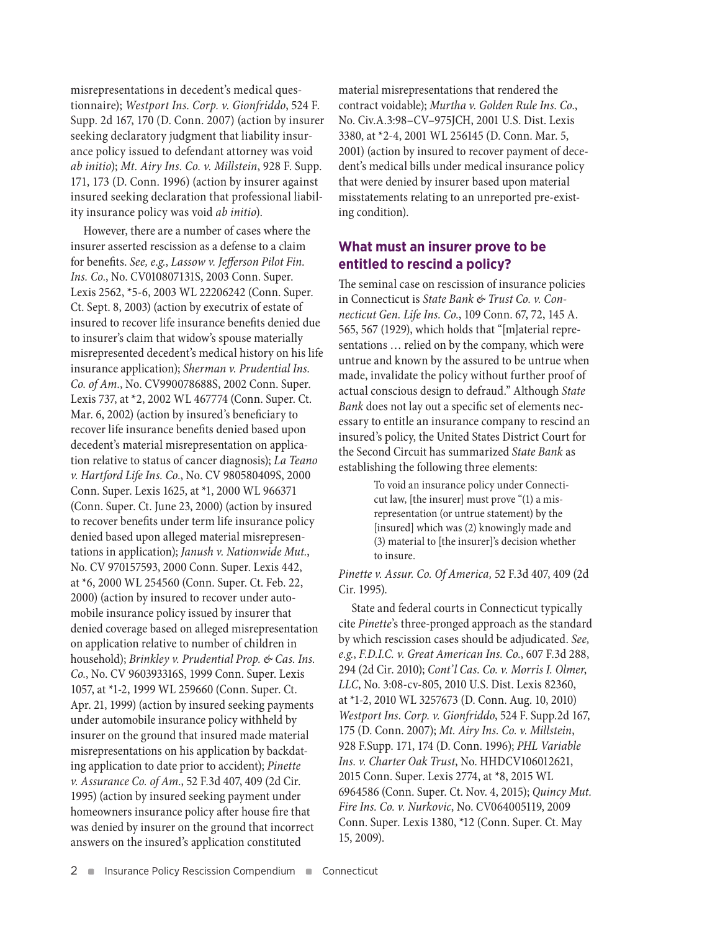misrepresentations in decedent's medical questionnaire); *Westport Ins. Corp. v. Gionfriddo*, 524 F. Supp. 2d 167, 170 (D. Conn. 2007) (action by insurer seeking declaratory judgment that liability insurance policy issued to defendant attorney was void *ab initio*); *Mt. Airy Ins. Co. v. Millstein*, 928 F. Supp. 171, 173 (D. Conn. 1996) (action by insurer against insured seeking declaration that professional liability insurance policy was void *ab initio*).

However, there are a number of cases where the insurer asserted rescission as a defense to a claim for benefits. *See, e.g.*, *Lassow v. Jefferson Pilot Fin. Ins. Co.*, No. CV010807131S, 2003 Conn. Super. Lexis 2562, \*5-6, 2003 WL 22206242 (Conn. Super. Ct. Sept. 8, 2003) (action by executrix of estate of insured to recover life insurance benefits denied due to insurer's claim that widow's spouse materially misrepresented decedent's medical history on his life insurance application); *Sherman v. Prudential Ins. Co. of Am.*, No. CV990078688S, 2002 Conn. Super. Lexis 737, at \*2, 2002 WL 467774 (Conn. Super. Ct. Mar. 6, 2002) (action by insured's beneficiary to recover life insurance benefits denied based upon decedent's material misrepresentation on application relative to status of cancer diagnosis); *La Teano v. Hartford Life Ins. Co.*, No. CV 980580409S, 2000 Conn. Super. Lexis 1625, at \*1, 2000 WL 966371 (Conn. Super. Ct. June 23, 2000) (action by insured to recover benefits under term life insurance policy denied based upon alleged material misrepresentations in application); *Janush v. Nationwide Mut.*, No. CV 970157593, 2000 Conn. Super. Lexis 442, at \*6, 2000 WL 254560 (Conn. Super. Ct. Feb. 22, 2000) (action by insured to recover under automobile insurance policy issued by insurer that denied coverage based on alleged misrepresentation on application relative to number of children in household); *Brinkley v. Prudential Prop. & Cas. Ins. Co.*, No. CV 960393316S, 1999 Conn. Super. Lexis 1057, at \*1-2, 1999 WL 259660 (Conn. Super. Ct. Apr. 21, 1999) (action by insured seeking payments under automobile insurance policy withheld by insurer on the ground that insured made material misrepresentations on his application by backdating application to date prior to accident); *Pinette v. Assurance Co. of Am.*, 52 F.3d 407, 409 (2d Cir. 1995) (action by insured seeking payment under homeowners insurance policy after house fire that was denied by insurer on the ground that incorrect answers on the insured's application constituted

material misrepresentations that rendered the contract voidable); *Murtha v. Golden Rule Ins. Co*., No. Civ.A.3:98–CV–975JCH, 2001 U.S. Dist. Lexis 3380, at \*2-4, 2001 WL 256145 (D. Conn. Mar. 5, 2001) (action by insured to recover payment of decedent's medical bills under medical insurance policy that were denied by insurer based upon material misstatements relating to an unreported pre-existing condition).

### **What must an insurer prove to be entitled to rescind a policy?**

The seminal case on rescission of insurance policies in Connecticut is *State Bank & Trust Co. v. Connecticut Gen. Life Ins. Co.*, 109 Conn. 67, 72, 145 A. 565, 567 (1929), which holds that "[m]aterial representations … relied on by the company, which were untrue and known by the assured to be untrue when made, invalidate the policy without further proof of actual conscious design to defraud." Although *State Bank* does not lay out a specific set of elements necessary to entitle an insurance company to rescind an insured's policy, the United States District Court for the Second Circuit has summarized *State Bank* as establishing the following three elements:

> To void an insurance policy under Connecticut law, [the insurer] must prove "(1) a misrepresentation (or untrue statement) by the [insured] which was (2) knowingly made and (3) material to [the insurer]'s decision whether to insure.

*Pinette v. Assur. Co. Of America,* 52 F.3d 407, 409 (2d Cir. 1995).

State and federal courts in Connecticut typically cite *Pinette*'s three-pronged approach as the standard by which rescission cases should be adjudicated. *See, e.g.*, *F.D.I.C. v. Great American Ins. Co.*, 607 F.3d 288, 294 (2d Cir. 2010); *Cont'l Cas. Co. v. Morris I. Olmer*, *LLC*, No. 3:08-cv-805, 2010 U.S. Dist. Lexis 82360, at \*1-2, 2010 WL 3257673 (D. Conn. Aug. 10, 2010) *Westport Ins. Corp. v. Gionfriddo*, 524 F. Supp.2d 167, 175 (D. Conn. 2007); *Mt. Airy Ins. Co. v. Millstein*, 928 F.Supp. 171, 174 (D. Conn. 1996); *PHL Variable Ins. v. Charter Oak Trust*, No. HHDCV106012621, 2015 Conn. Super. Lexis 2774, at \*8, 2015 WL 6964586 (Conn. Super. Ct. Nov. 4, 2015); *Quincy Mut. Fire Ins. Co. v. Nurkovic*, No. CV064005119, 2009 Conn. Super. Lexis 1380, \*12 (Conn. Super. Ct. May 15, 2009).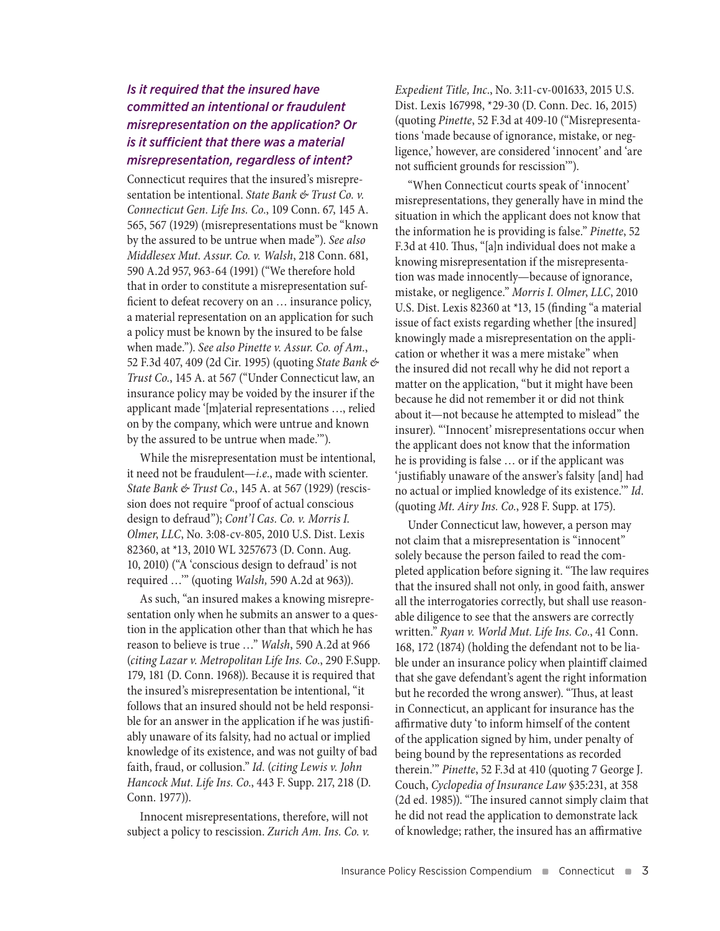# *Is it required that the insured have committed an intentional or fraudulent misrepresentation on the application? Or is it sufficient that there was a material misrepresentation, regardless of intent?*

Connecticut requires that the insured's misrepresentation be intentional. *State Bank & Trust Co. v. Connecticut Gen. Life Ins. Co.*, 109 Conn. 67, 145 A. 565, 567 (1929) (misrepresentations must be "known by the assured to be untrue when made"). *See also Middlesex Mut. Assur. Co. v. Walsh*, 218 Conn. 681, 590 A.2d 957, 963-64 (1991) ("We therefore hold that in order to constitute a misrepresentation sufficient to defeat recovery on an … insurance policy, a material representation on an application for such a policy must be known by the insured to be false when made."). *See also Pinette v. Assur. Co. of Am.*, 52 F.3d 407, 409 (2d Cir. 1995) (quoting *State Bank & Trust Co.*, 145 A. at 567 ("Under Connecticut law, an insurance policy may be voided by the insurer if the applicant made '[m]aterial representations …, relied on by the company, which were untrue and known by the assured to be untrue when made.'").

While the misrepresentation must be intentional, it need not be fraudulent—*i.e.*, made with scienter. *State Bank & Trust Co.*, 145 A. at 567 (1929) (rescission does not require "proof of actual conscious design to defraud"); *Cont'l Cas. Co. v. Morris I. Olmer*, *LLC*, No. 3:08-cv-805, 2010 U.S. Dist. Lexis 82360, at \*13, 2010 WL 3257673 (D. Conn. Aug. 10, 2010) ("A 'conscious design to defraud' is not required …'" (quoting *Walsh,* 590 A.2d at 963)).

As such, "an insured makes a knowing misrepresentation only when he submits an answer to a question in the application other than that which he has reason to believe is true …" *Walsh*, 590 A.2d at 966 (*citing Lazar v. Metropolitan Life Ins. Co.*, 290 F.Supp. 179, 181 (D. Conn. 1968)). Because it is required that the insured's misrepresentation be intentional, "it follows that an insured should not be held responsible for an answer in the application if he was justifiably unaware of its falsity, had no actual or implied knowledge of its existence, and was not guilty of bad faith, fraud, or collusion." *Id.* (*citing Lewis v. John Hancock Mut. Life Ins. Co.*, 443 F. Supp. 217, 218 (D. Conn. 1977)).

Innocent misrepresentations, therefore, will not subject a policy to rescission. *Zurich Am. Ins. Co. v.* 

*Expedient Title, Inc*., No. 3:11-cv-001633, 2015 U.S. Dist. Lexis 167998, \*29-30 (D. Conn. Dec. 16, 2015) (quoting *Pinette*, 52 F.3d at 409-10 ("Misrepresentations 'made because of ignorance, mistake, or negligence,' however, are considered 'innocent' and 'are not sufficient grounds for rescission'").

"When Connecticut courts speak of 'innocent' misrepresentations, they generally have in mind the situation in which the applicant does not know that the information he is providing is false." *Pinette*, 52 F.3d at 410. Thus, "[a]n individual does not make a knowing misrepresentation if the misrepresentation was made innocently—because of ignorance, mistake, or negligence." *Morris I. Olmer*, *LLC*, 2010 U.S. Dist. Lexis 82360 at \*13, 15 (finding "a material issue of fact exists regarding whether [the insured] knowingly made a misrepresentation on the application or whether it was a mere mistake" when the insured did not recall why he did not report a matter on the application, "but it might have been because he did not remember it or did not think about it—not because he attempted to mislead" the insurer). "'Innocent' misrepresentations occur when the applicant does not know that the information he is providing is false … or if the applicant was 'justifiably unaware of the answer's falsity [and] had no actual or implied knowledge of its existence.'" *Id*. (quoting *Mt. Airy Ins. Co.*, 928 F. Supp. at 175).

Under Connecticut law, however, a person may not claim that a misrepresentation is "innocent" solely because the person failed to read the completed application before signing it. "The law requires that the insured shall not only, in good faith, answer all the interrogatories correctly, but shall use reasonable diligence to see that the answers are correctly written." *Ryan v. World Mut. Life Ins. Co.*, 41 Conn. 168, 172 (1874) (holding the defendant not to be liable under an insurance policy when plaintiff claimed that she gave defendant's agent the right information but he recorded the wrong answer). "Thus, at least in Connecticut, an applicant for insurance has the affirmative duty 'to inform himself of the content of the application signed by him, under penalty of being bound by the representations as recorded therein.'" *Pinette*, 52 F.3d at 410 (quoting 7 George J. Couch, *Cyclopedia of Insurance Law* §35:231, at 358 (2d ed. 1985)). "The insured cannot simply claim that he did not read the application to demonstrate lack of knowledge; rather, the insured has an affirmative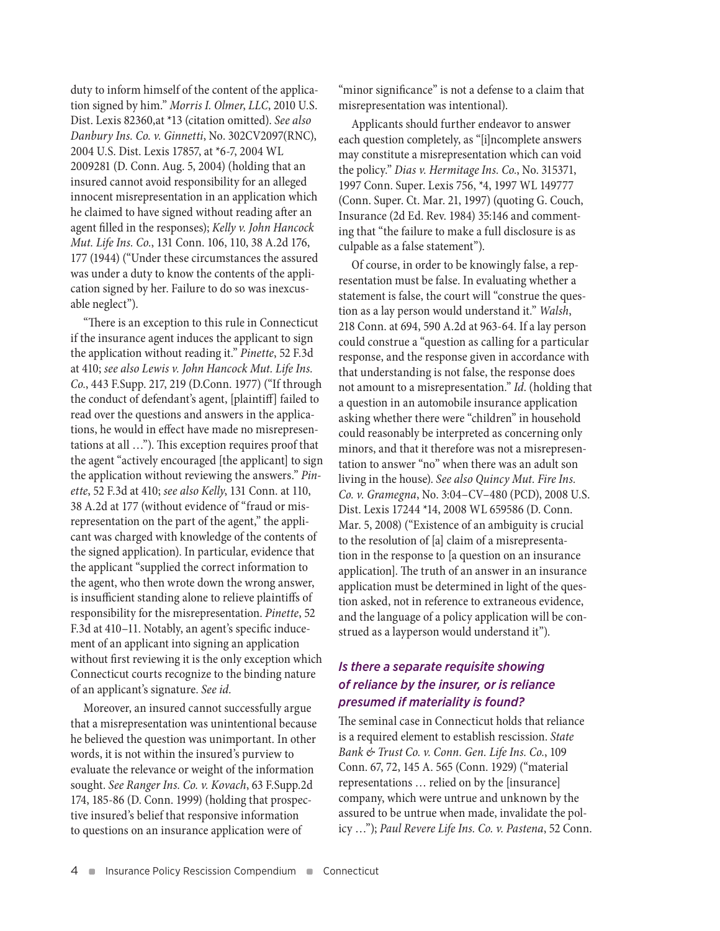duty to inform himself of the content of the application signed by him." *Morris I. Olmer*, *LLC*, 2010 U.S. Dist. Lexis 82360,at \*13 (citation omitted). *See also Danbury Ins. Co. v. Ginnetti*, No. 302CV2097(RNC), 2004 U.S. Dist. Lexis 17857, at \*6-7, 2004 WL 2009281 (D. Conn. Aug. 5, 2004) (holding that an insured cannot avoid responsibility for an alleged innocent misrepresentation in an application which he claimed to have signed without reading after an agent filled in the responses); *Kelly v. John Hancock Mut. Life Ins. Co.*, 131 Conn. 106, 110, 38 A.2d 176, 177 (1944) ("Under these circumstances the assured was under a duty to know the contents of the application signed by her. Failure to do so was inexcusable neglect").

"There is an exception to this rule in Connecticut if the insurance agent induces the applicant to sign the application without reading it." *Pinette*, 52 F.3d at 410; *see also Lewis v. John Hancock Mut. Life Ins. Co.*, 443 F.Supp. 217, 219 (D.Conn. 1977) ("If through the conduct of defendant's agent, [plaintiff] failed to read over the questions and answers in the applications, he would in effect have made no misrepresentations at all …"). This exception requires proof that the agent "actively encouraged [the applicant] to sign the application without reviewing the answers." *Pinette*, 52 F.3d at 410; *see also Kelly*, 131 Conn. at 110, 38 A.2d at 177 (without evidence of "fraud or misrepresentation on the part of the agent," the applicant was charged with knowledge of the contents of the signed application). In particular, evidence that the applicant "supplied the correct information to the agent, who then wrote down the wrong answer, is insufficient standing alone to relieve plaintiffs of responsibility for the misrepresentation. *Pinette*, 52 F.3d at 410–11. Notably, an agent's specific inducement of an applicant into signing an application without first reviewing it is the only exception which Connecticut courts recognize to the binding nature of an applicant's signature. *See id.*

Moreover, an insured cannot successfully argue that a misrepresentation was unintentional because he believed the question was unimportant. In other words, it is not within the insured's purview to evaluate the relevance or weight of the information sought. *See Ranger Ins. Co. v. Kovach*, 63 F.Supp.2d 174, 185-86 (D. Conn. 1999) (holding that prospective insured's belief that responsive information to questions on an insurance application were of

"minor significance" is not a defense to a claim that misrepresentation was intentional).

Applicants should further endeavor to answer each question completely, as "[i]ncomplete answers may constitute a misrepresentation which can void the policy." *Dias v. Hermitage Ins. Co.*, No. 315371, 1997 Conn. Super. Lexis 756, \*4, 1997 WL 149777 (Conn. Super. Ct. Mar. 21, 1997) (quoting G. Couch, Insurance (2d Ed. Rev. 1984) 35:146 and commenting that "the failure to make a full disclosure is as culpable as a false statement").

Of course, in order to be knowingly false, a representation must be false. In evaluating whether a statement is false, the court will "construe the question as a lay person would understand it." *Walsh*, 218 Conn. at 694, 590 A.2d at 963-64. If a lay person could construe a "question as calling for a particular response, and the response given in accordance with that understanding is not false, the response does not amount to a misrepresentation." *Id*. (holding that a question in an automobile insurance application asking whether there were "children" in household could reasonably be interpreted as concerning only minors, and that it therefore was not a misrepresentation to answer "no" when there was an adult son living in the house). *See also Quincy Mut. Fire Ins. Co. v. Gramegna*, No. 3:04–CV–480 (PCD), 2008 U.S. Dist. Lexis 17244 \*14, 2008 WL 659586 (D. Conn. Mar. 5, 2008) ("Existence of an ambiguity is crucial to the resolution of [a] claim of a misrepresentation in the response to [a question on an insurance application]. The truth of an answer in an insurance application must be determined in light of the question asked, not in reference to extraneous evidence, and the language of a policy application will be construed as a layperson would understand it").

#### *Is there a separate requisite showing of reliance by the insurer, or is reliance presumed if materiality is found?*

The seminal case in Connecticut holds that reliance is a required element to establish rescission. *State Bank & Trust Co. v. Conn. Gen. Life Ins. Co.*, 109 Conn. 67, 72, 145 A. 565 (Conn. 1929) ("material representations … relied on by the [insurance] company, which were untrue and unknown by the assured to be untrue when made, invalidate the policy …"); *Paul Revere Life Ins. Co. v. Pastena*, 52 Conn.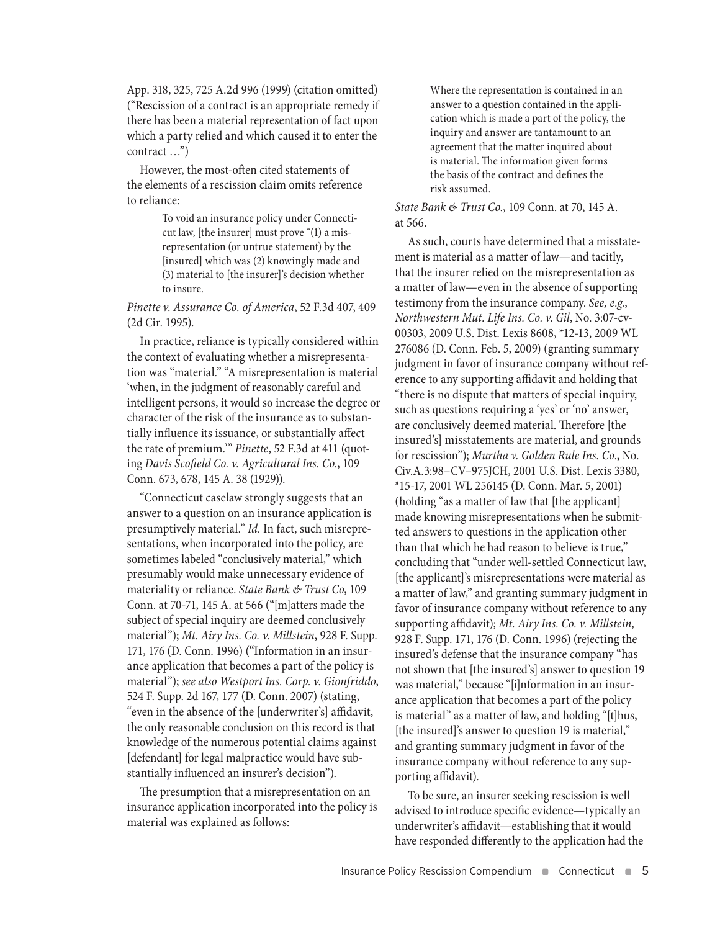App. 318, 325, 725 A.2d 996 (1999) (citation omitted) ("Rescission of a contract is an appropriate remedy if there has been a material representation of fact upon which a party relied and which caused it to enter the contract …")

However, the most-often cited statements of the elements of a rescission claim omits reference to reliance:

> To void an insurance policy under Connecticut law, [the insurer] must prove "(1) a misrepresentation (or untrue statement) by the [insured] which was (2) knowingly made and (3) material to [the insurer]'s decision whether to insure.

*Pinette v. Assurance Co. of America*, 52 F.3d 407, 409 (2d Cir. 1995).

In practice, reliance is typically considered within the context of evaluating whether a misrepresentation was "material." "A misrepresentation is material 'when, in the judgment of reasonably careful and intelligent persons, it would so increase the degree or character of the risk of the insurance as to substantially influence its issuance, or substantially affect the rate of premium.'" *Pinette*, 52 F.3d at 411 (quoting *Davis Scofield Co. v. Agricultural Ins. Co.*, 109 Conn. 673, 678, 145 A. 38 (1929)).

"Connecticut caselaw strongly suggests that an answer to a question on an insurance application is presumptively material." *Id.* In fact, such misrepresentations, when incorporated into the policy, are sometimes labeled "conclusively material," which presumably would make unnecessary evidence of materiality or reliance. *State Bank & Trust Co*, 109 Conn. at 70-71, 145 A. at 566 ("[m]atters made the subject of special inquiry are deemed conclusively material"); *Mt. Airy Ins. Co. v. Millstein*, 928 F. Supp. 171, 176 (D. Conn. 1996) ("Information in an insurance application that becomes a part of the policy is material"); *see also Westport Ins. Corp. v. Gionfriddo*, 524 F. Supp. 2d 167, 177 (D. Conn. 2007) (stating, "even in the absence of the [underwriter's] affidavit, the only reasonable conclusion on this record is that knowledge of the numerous potential claims against [defendant] for legal malpractice would have substantially influenced an insurer's decision").

The presumption that a misrepresentation on an insurance application incorporated into the policy is material was explained as follows:

Where the representation is contained in an answer to a question contained in the application which is made a part of the policy, the inquiry and answer are tantamount to an agreement that the matter inquired about is material. The information given forms the basis of the contract and defines the risk assumed.

#### *State Bank & Trust Co.*, 109 Conn. at 70, 145 A. at 566.

As such, courts have determined that a misstatement is material as a matter of law—and tacitly, that the insurer relied on the misrepresentation as a matter of law—even in the absence of supporting testimony from the insurance company. *See, e.g.*, *Northwestern Mut. Life Ins. Co. v. Gil*, No. 3:07-cv-00303, 2009 U.S. Dist. Lexis 8608, \*12-13, 2009 WL 276086 (D. Conn. Feb. 5, 2009) (granting summary judgment in favor of insurance company without reference to any supporting affidavit and holding that "there is no dispute that matters of special inquiry, such as questions requiring a 'yes' or 'no' answer, are conclusively deemed material. Therefore [the insured's] misstatements are material, and grounds for rescission"); *Murtha v. Golden Rule Ins. Co*., No. Civ.A.3:98–CV–975JCH, 2001 U.S. Dist. Lexis 3380, \*15-17, 2001 WL 256145 (D. Conn. Mar. 5, 2001) (holding "as a matter of law that [the applicant] made knowing misrepresentations when he submitted answers to questions in the application other than that which he had reason to believe is true," concluding that "under well-settled Connecticut law, [the applicant]'s misrepresentations were material as a matter of law," and granting summary judgment in favor of insurance company without reference to any supporting affidavit); *Mt. Airy Ins. Co. v. Millstein*, 928 F. Supp. 171, 176 (D. Conn. 1996) (rejecting the insured's defense that the insurance company "has not shown that [the insured's] answer to question 19 was material," because "[i]nformation in an insurance application that becomes a part of the policy is material" as a matter of law, and holding "[t]hus, [the insured]'s answer to question 19 is material," and granting summary judgment in favor of the insurance company without reference to any supporting affidavit).

To be sure, an insurer seeking rescission is well advised to introduce specific evidence—typically an underwriter's affidavit—establishing that it would have responded differently to the application had the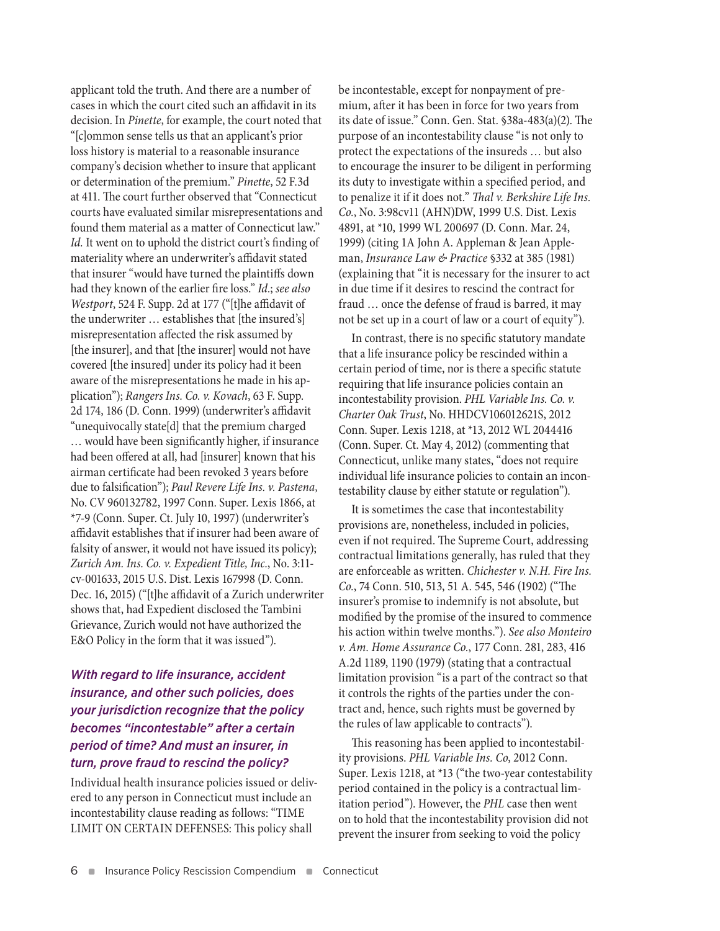applicant told the truth. And there are a number of cases in which the court cited such an affidavit in its decision. In *Pinette*, for example, the court noted that "[c]ommon sense tells us that an applicant's prior loss history is material to a reasonable insurance company's decision whether to insure that applicant or determination of the premium." *Pinette*, 52 F.3d at 411. The court further observed that "Connecticut courts have evaluated similar misrepresentations and found them material as a matter of Connecticut law." *Id.* It went on to uphold the district court's finding of materiality where an underwriter's affidavit stated that insurer "would have turned the plaintiffs down had they known of the earlier fire loss." *Id.*; *see also Westport*, 524 F. Supp. 2d at 177 ("[t]he affidavit of the underwriter … establishes that [the insured's] misrepresentation affected the risk assumed by [the insurer], and that [the insurer] would not have covered [the insured] under its policy had it been aware of the misrepresentations he made in his application"); *Rangers Ins. Co. v. Kovach*, 63 F. Supp. 2d 174, 186 (D. Conn. 1999) (underwriter's affidavit "unequivocally state[d] that the premium charged … would have been significantly higher, if insurance had been offered at all, had [insurer] known that his airman certificate had been revoked 3 years before due to falsification"); *Paul Revere Life Ins. v. Pastena*, No. CV 960132782, 1997 Conn. Super. Lexis 1866, at \*7-9 (Conn. Super. Ct. July 10, 1997) (underwriter's affidavit establishes that if insurer had been aware of falsity of answer, it would not have issued its policy); *Zurich Am. Ins. Co. v. Expedient Title, Inc.*, No. 3:11 cv-001633, 2015 U.S. Dist. Lexis 167998 (D. Conn. Dec. 16, 2015) ("[t]he affidavit of a Zurich underwriter shows that, had Expedient disclosed the Tambini Grievance, Zurich would not have authorized the E&O Policy in the form that it was issued").

# *With regard to life insurance, accident insurance, and other such policies, does your jurisdiction recognize that the policy becomes "incontestable" after a certain period of time? And must an insurer, in turn, prove fraud to rescind the policy?*

Individual health insurance policies issued or delivered to any person in Connecticut must include an incontestability clause reading as follows: "TIME LIMIT ON CERTAIN DEFENSES: This policy shall

be incontestable, except for nonpayment of premium, after it has been in force for two years from its date of issue." Conn. Gen. Stat. §38a-483(a)(2). The purpose of an incontestability clause "is not only to protect the expectations of the insureds … but also to encourage the insurer to be diligent in performing its duty to investigate within a specified period, and to penalize it if it does not." *Thal v. Berkshire Life Ins. Co.*, No. 3:98cv11 (AHN)DW, 1999 U.S. Dist. Lexis 4891, at \*10, 1999 WL 200697 (D. Conn. Mar. 24, 1999) (citing 1A John A. Appleman & Jean Appleman, *Insurance Law & Practice* §332 at 385 (1981) (explaining that "it is necessary for the insurer to act in due time if it desires to rescind the contract for fraud … once the defense of fraud is barred, it may not be set up in a court of law or a court of equity").

In contrast, there is no specific statutory mandate that a life insurance policy be rescinded within a certain period of time, nor is there a specific statute requiring that life insurance policies contain an incontestability provision. *PHL Variable Ins. Co. v. Charter Oak Trust*, No. HHDCV106012621S, 2012 Conn. Super. Lexis 1218, at \*13, 2012 WL 2044416 (Conn. Super. Ct. May 4, 2012) (commenting that Connecticut, unlike many states, "does not require individual life insurance policies to contain an incontestability clause by either statute or regulation").

It is sometimes the case that incontestability provisions are, nonetheless, included in policies, even if not required. The Supreme Court, addressing contractual limitations generally, has ruled that they are enforceable as written. *Chichester v. N.H. Fire Ins. Co.*, 74 Conn. 510, 513, 51 A. 545, 546 (1902) ("The insurer's promise to indemnify is not absolute, but modified by the promise of the insured to commence his action within twelve months."). *See also Monteiro v. Am. Home Assurance Co.*, 177 Conn. 281, 283, 416 A.2d 1189, 1190 (1979) (stating that a contractual limitation provision "is a part of the contract so that it controls the rights of the parties under the contract and, hence, such rights must be governed by the rules of law applicable to contracts").

This reasoning has been applied to incontestability provisions. *PHL Variable Ins. Co*, 2012 Conn. Super. Lexis 1218, at \*13 ("the two-year contestability period contained in the policy is a contractual limitation period"). However, the *PHL* case then went on to hold that the incontestability provision did not prevent the insurer from seeking to void the policy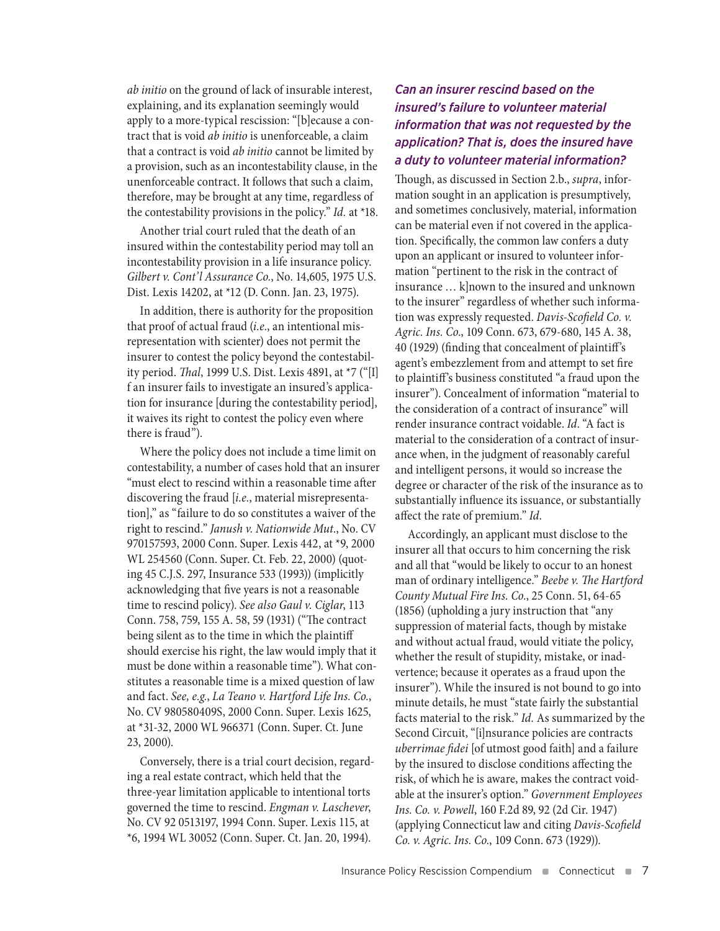*ab initio* on the ground of lack of insurable interest, explaining, and its explanation seemingly would apply to a more-typical rescission: "[b]ecause a contract that is void *ab initio* is unenforceable, a claim that a contract is void *ab initio* cannot be limited by a provision, such as an incontestability clause, in the unenforceable contract. It follows that such a claim, therefore, may be brought at any time, regardless of the contestability provisions in the policy." *Id.* at \*18.

Another trial court ruled that the death of an insured within the contestability period may toll an incontestability provision in a life insurance policy. *Gilbert v. Cont'l Assurance Co.*, No. 14,605, 1975 U.S. Dist. Lexis 14202, at \*12 (D. Conn. Jan. 23, 1975).

In addition, there is authority for the proposition that proof of actual fraud (*i.e.*, an intentional misrepresentation with scienter) does not permit the insurer to contest the policy beyond the contestability period. *Thal*, 1999 U.S. Dist. Lexis 4891, at \*7 ("[I] f an insurer fails to investigate an insured's application for insurance [during the contestability period], it waives its right to contest the policy even where there is fraud").

Where the policy does not include a time limit on contestability, a number of cases hold that an insurer "must elect to rescind within a reasonable time after discovering the fraud [*i.e.*, material misrepresentation]," as "failure to do so constitutes a waiver of the right to rescind." *Janush v. Nationwide Mut*., No. CV 970157593, 2000 Conn. Super. Lexis 442, at \*9, 2000 WL 254560 (Conn. Super. Ct. Feb. 22, 2000) (quoting 45 C.J.S. 297, Insurance 533 (1993)) (implicitly acknowledging that five years is not a reasonable time to rescind policy). *See also Gaul v. Ciglar*, 113 Conn. 758, 759, 155 A. 58, 59 (1931) ("The contract being silent as to the time in which the plaintiff should exercise his right, the law would imply that it must be done within a reasonable time"). What constitutes a reasonable time is a mixed question of law and fact. *See, e.g.*, *La Teano v. Hartford Life Ins. Co.*, No. CV 980580409S, 2000 Conn. Super. Lexis 1625, at \*31-32, 2000 WL 966371 (Conn. Super. Ct. June 23, 2000).

Conversely, there is a trial court decision, regarding a real estate contract, which held that the three-year limitation applicable to intentional torts governed the time to rescind. *Engman v. Laschever*, No. CV 92 0513197, 1994 Conn. Super. Lexis 115, at \*6, 1994 WL 30052 (Conn. Super. Ct. Jan. 20, 1994).

# *Can an insurer rescind based on the insured's failure to volunteer material information that was not requested by the application? That is, does the insured have a duty to volunteer material information?*

Though, as discussed in Section 2.b., *supra*, information sought in an application is presumptively, and sometimes conclusively, material, information can be material even if not covered in the application. Specifically, the common law confers a duty upon an applicant or insured to volunteer information "pertinent to the risk in the contract of insurance … k]nown to the insured and unknown to the insurer" regardless of whether such information was expressly requested. *Davis-Scofield Co. v. Agric. Ins. Co*., 109 Conn. 673, 679-680, 145 A. 38, 40 (1929) (finding that concealment of plaintiff's agent's embezzlement from and attempt to set fire to plaintiff's business constituted "a fraud upon the insurer"). Concealment of information "material to the consideration of a contract of insurance" will render insurance contract voidable. *Id*. "A fact is material to the consideration of a contract of insurance when, in the judgment of reasonably careful and intelligent persons, it would so increase the degree or character of the risk of the insurance as to substantially influence its issuance, or substantially affect the rate of premium." *Id*.

Accordingly, an applicant must disclose to the insurer all that occurs to him concerning the risk and all that "would be likely to occur to an honest man of ordinary intelligence." *Beebe v. The Hartford County Mutual Fire Ins. Co.*, 25 Conn. 51, 64-65 (1856) (upholding a jury instruction that "any suppression of material facts, though by mistake and without actual fraud, would vitiate the policy, whether the result of stupidity, mistake, or inadvertence; because it operates as a fraud upon the insurer"). While the insured is not bound to go into minute details, he must "state fairly the substantial facts material to the risk." *Id.* As summarized by the Second Circuit, "[i]nsurance policies are contracts *uberrimae fidei* [of utmost good faith] and a failure by the insured to disclose conditions affecting the risk, of which he is aware, makes the contract voidable at the insurer's option." *Government Employees Ins. Co. v. Powell*, 160 F.2d 89, 92 (2d Cir. 1947) (applying Connecticut law and citing *Davis-Scofield Co. v. Agric. Ins. Co.*, 109 Conn. 673 (1929)).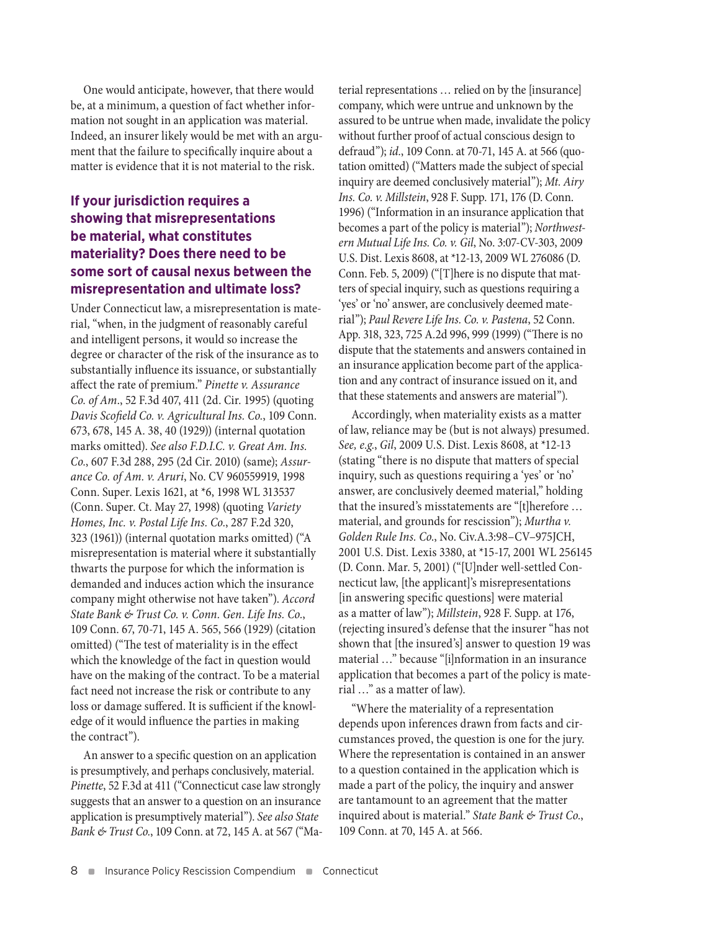One would anticipate, however, that there would be, at a minimum, a question of fact whether information not sought in an application was material. Indeed, an insurer likely would be met with an argument that the failure to specifically inquire about a matter is evidence that it is not material to the risk.

# **If your jurisdiction requires a showing that misrepresentations be material, what constitutes materiality? Does there need to be some sort of causal nexus between the misrepresentation and ultimate loss?**

Under Connecticut law, a misrepresentation is material, "when, in the judgment of reasonably careful and intelligent persons, it would so increase the degree or character of the risk of the insurance as to substantially influence its issuance, or substantially affect the rate of premium." *Pinette v. Assurance Co. of Am*., 52 F.3d 407, 411 (2d. Cir. 1995) (quoting *Davis Scofield Co. v. Agricultural Ins. Co.*, 109 Conn. 673, 678, 145 A. 38, 40 (1929)) (internal quotation marks omitted). *See also F.D.I.C. v. Great Am. Ins. Co.*, 607 F.3d 288, 295 (2d Cir. 2010) (same); *Assurance Co. of Am. v. Aruri*, No. CV 960559919, 1998 Conn. Super. Lexis 1621, at \*6, 1998 WL 313537 (Conn. Super. Ct. May 27, 1998) (quoting *Variety Homes, Inc. v. Postal Life Ins. Co.*, 287 F.2d 320, 323 (1961)) (internal quotation marks omitted) ("A misrepresentation is material where it substantially thwarts the purpose for which the information is demanded and induces action which the insurance company might otherwise not have taken"). *Accord State Bank & Trust Co. v. Conn. Gen. Life Ins. Co.*, 109 Conn. 67, 70-71, 145 A. 565, 566 (1929) (citation omitted) ("The test of materiality is in the effect which the knowledge of the fact in question would have on the making of the contract. To be a material fact need not increase the risk or contribute to any loss or damage suffered. It is sufficient if the knowledge of it would influence the parties in making the contract").

An answer to a specific question on an application is presumptively, and perhaps conclusively, material. *Pinette*, 52 F.3d at 411 ("Connecticut case law strongly suggests that an answer to a question on an insurance application is presumptively material"). *See also State Bank & Trust Co.*, 109 Conn. at 72, 145 A. at 567 ("Material representations … relied on by the [insurance] company, which were untrue and unknown by the assured to be untrue when made, invalidate the policy without further proof of actual conscious design to defraud"); *id.*, 109 Conn. at 70-71, 145 A. at 566 (quotation omitted) ("Matters made the subject of special inquiry are deemed conclusively material"); *Mt. Airy Ins. Co. v. Millstein*, 928 F. Supp. 171, 176 (D. Conn. 1996) ("Information in an insurance application that becomes a part of the policy is material"); *Northwestern Mutual Life Ins. Co. v. Gil*, No. 3:07-CV-303, 2009 U.S. Dist. Lexis 8608, at \*12-13, 2009 WL 276086 (D. Conn. Feb. 5, 2009) ("[T]here is no dispute that matters of special inquiry, such as questions requiring a 'yes' or 'no' answer, are conclusively deemed material"); *Paul Revere Life Ins. Co. v. Pastena*, 52 Conn. App. 318, 323, 725 A.2d 996, 999 (1999) ("There is no dispute that the statements and answers contained in an insurance application become part of the application and any contract of insurance issued on it, and that these statements and answers are material").

Accordingly, when materiality exists as a matter of law, reliance may be (but is not always) presumed. *See, e.g.*, *Gil*, 2009 U.S. Dist. Lexis 8608, at \*12-13 (stating "there is no dispute that matters of special inquiry, such as questions requiring a 'yes' or 'no' answer, are conclusively deemed material," holding that the insured's misstatements are "[t]herefore … material, and grounds for rescission"); *Murtha v. Golden Rule Ins. Co*., No. Civ.A.3:98–CV–975JCH, 2001 U.S. Dist. Lexis 3380, at \*15-17, 2001 WL 256145 (D. Conn. Mar. 5, 2001) ("[U]nder well-settled Connecticut law, [the applicant]'s misrepresentations [in answering specific questions] were material as a matter of law"); *Millstein*, 928 F. Supp. at 176, (rejecting insured's defense that the insurer "has not shown that [the insured's] answer to question 19 was material …" because "[i]nformation in an insurance application that becomes a part of the policy is material …" as a matter of law).

"Where the materiality of a representation depends upon inferences drawn from facts and circumstances proved, the question is one for the jury. Where the representation is contained in an answer to a question contained in the application which is made a part of the policy, the inquiry and answer are tantamount to an agreement that the matter inquired about is material." *State Bank & Trust Co.*, 109 Conn. at 70, 145 A. at 566.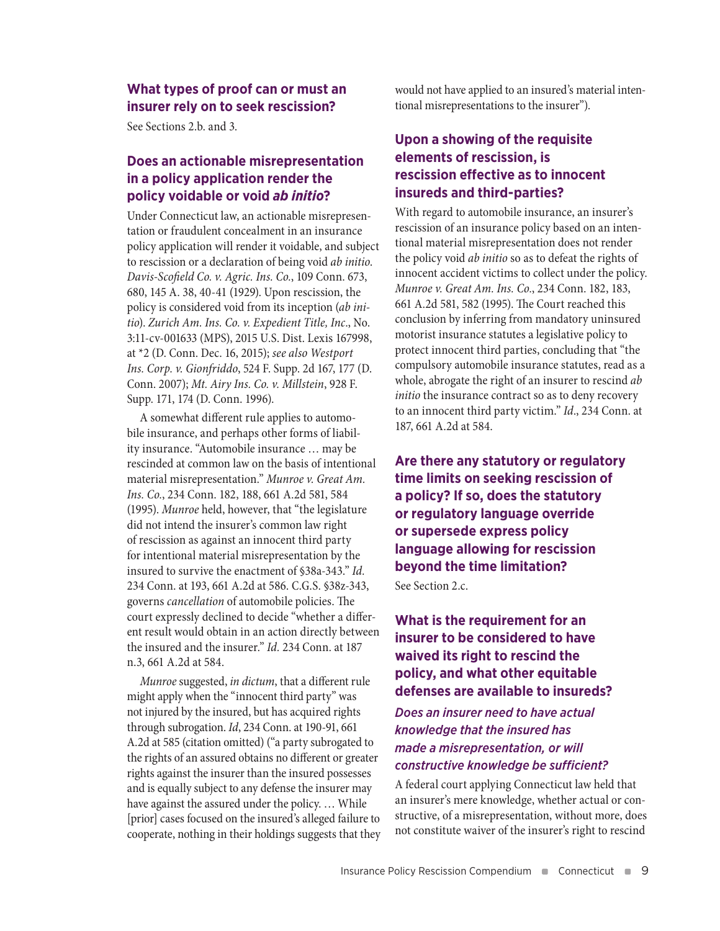#### **What types of proof can or must an insurer rely on to seek rescission?**

See Sections 2.b. and 3.

# **Does an actionable misrepresentation in a policy application render the policy voidable or void** *ab initio***?**

Under Connecticut law, an actionable misrepresentation or fraudulent concealment in an insurance policy application will render it voidable, and subject to rescission or a declaration of being void *ab initio*. *Davis-Scofield Co. v. Agric. Ins. Co.*, 109 Conn. 673, 680, 145 A. 38, 40-41 (1929). Upon rescission, the policy is considered void from its inception (*ab initio*). *Zurich Am. Ins. Co. v. Expedient Title, Inc*., No. 3:11-cv-001633 (MPS), 2015 U.S. Dist. Lexis 167998, at \*2 (D. Conn. Dec. 16, 2015); *see also Westport Ins. Corp. v. Gionfriddo*, 524 F. Supp. 2d 167, 177 (D. Conn. 2007); *Mt. Airy Ins. Co. v. Millstein*, 928 F. Supp. 171, 174 (D. Conn. 1996).

A somewhat different rule applies to automobile insurance, and perhaps other forms of liability insurance. "Automobile insurance … may be rescinded at common law on the basis of intentional material misrepresentation." *Munroe v. Great Am. Ins. Co.*, 234 Conn. 182, 188, 661 A.2d 581, 584 (1995). *Munroe* held, however, that "the legislature did not intend the insurer's common law right of rescission as against an innocent third party for intentional material misrepresentation by the insured to survive the enactment of §38a-343." *Id.* 234 Conn. at 193, 661 A.2d at 586. C.G.S. §38z-343, governs *cancellation* of automobile policies. The court expressly declined to decide "whether a different result would obtain in an action directly between the insured and the insurer." *Id.* 234 Conn. at 187 n.3, 661 A.2d at 584.

*Munroe* suggested, *in dictum*, that a different rule might apply when the "innocent third party" was not injured by the insured, but has acquired rights through subrogation. *Id*, 234 Conn. at 190-91, 661 A.2d at 585 (citation omitted) ("a party subrogated to the rights of an assured obtains no different or greater rights against the insurer than the insured possesses and is equally subject to any defense the insurer may have against the assured under the policy. … While [prior] cases focused on the insured's alleged failure to cooperate, nothing in their holdings suggests that they would not have applied to an insured's material intentional misrepresentations to the insurer").

# **Upon a showing of the requisite elements of rescission, is rescission effective as to innocent insureds and third-parties?**

With regard to automobile insurance, an insurer's rescission of an insurance policy based on an intentional material misrepresentation does not render the policy void *ab initio* so as to defeat the rights of innocent accident victims to collect under the policy. *Munroe v. Great Am. Ins. Co.*, 234 Conn. 182, 183, 661 A.2d 581, 582 (1995). The Court reached this conclusion by inferring from mandatory uninsured motorist insurance statutes a legislative policy to protect innocent third parties, concluding that "the compulsory automobile insurance statutes, read as a whole, abrogate the right of an insurer to rescind *ab initio* the insurance contract so as to deny recovery to an innocent third party victim." *Id*., 234 Conn. at 187, 661 A.2d at 584.

**Are there any statutory or regulatory time limits on seeking rescission of a policy? If so, does the statutory or regulatory language override or supersede express policy language allowing for rescission beyond the time limitation?** See Section 2.c.

**What is the requirement for an insurer to be considered to have waived its right to rescind the policy, and what other equitable defenses are available to insureds?**

*Does an insurer need to have actual knowledge that the insured has made a misrepresentation, or will constructive knowledge be sufficient?*

A federal court applying Connecticut law held that an insurer's mere knowledge, whether actual or constructive, of a misrepresentation, without more, does not constitute waiver of the insurer's right to rescind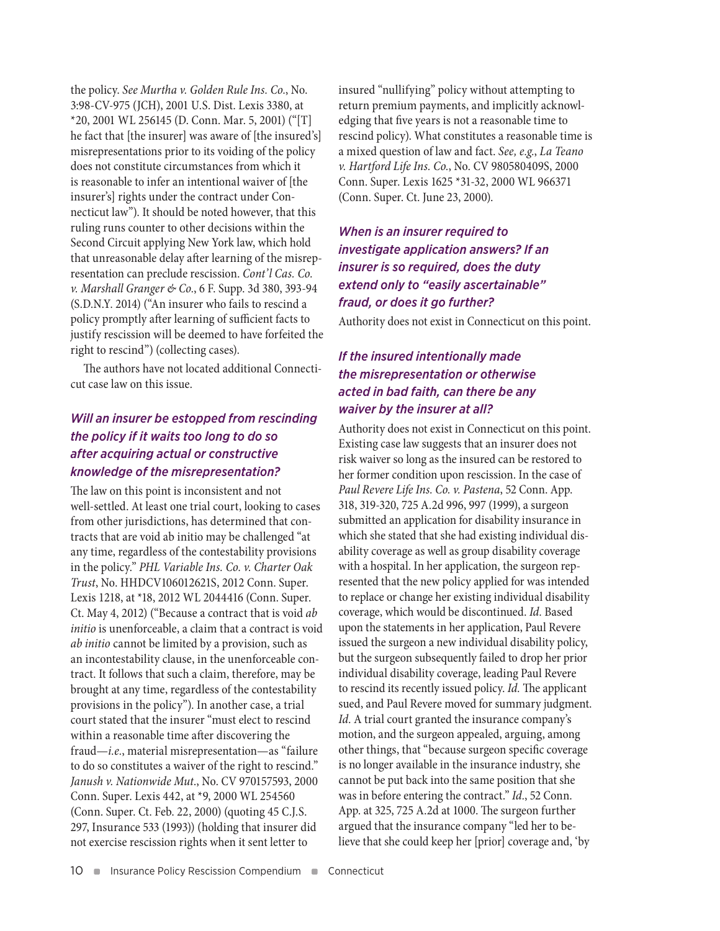the policy. *See Murtha v. Golden Rule Ins. Co.*, No. 3:98-CV-975 (JCH), 2001 U.S. Dist. Lexis 3380, at \*20, 2001 WL 256145 (D. Conn. Mar. 5, 2001) ("[T] he fact that [the insurer] was aware of [the insured's] misrepresentations prior to its voiding of the policy does not constitute circumstances from which it is reasonable to infer an intentional waiver of [the insurer's] rights under the contract under Connecticut law"). It should be noted however, that this ruling runs counter to other decisions within the Second Circuit applying New York law, which hold that unreasonable delay after learning of the misrepresentation can preclude rescission. *Cont'l Cas. Co. v. Marshall Granger & Co.*, 6 F. Supp. 3d 380, 393-94 (S.D.N.Y. 2014) ("An insurer who fails to rescind a policy promptly after learning of sufficient facts to justify rescission will be deemed to have forfeited the right to rescind") (collecting cases).

The authors have not located additional Connecticut case law on this issue.

# *Will an insurer be estopped from rescinding the policy if it waits too long to do so after acquiring actual or constructive knowledge of the misrepresentation?*

The law on this point is inconsistent and not well-settled. At least one trial court, looking to cases from other jurisdictions, has determined that contracts that are void ab initio may be challenged "at any time, regardless of the contestability provisions in the policy." *PHL Variable Ins. Co. v. Charter Oak Trust*, No. HHDCV106012621S, 2012 Conn. Super. Lexis 1218, at \*18, 2012 WL 2044416 (Conn. Super. Ct. May 4, 2012) ("Because a contract that is void *ab initio* is unenforceable, a claim that a contract is void *ab initio* cannot be limited by a provision, such as an incontestability clause, in the unenforceable contract. It follows that such a claim, therefore, may be brought at any time, regardless of the contestability provisions in the policy"). In another case, a trial court stated that the insurer "must elect to rescind within a reasonable time after discovering the fraud—*i.e.*, material misrepresentation—as "failure to do so constitutes a waiver of the right to rescind." *Janush v. Nationwide Mut*., No. CV 970157593, 2000 Conn. Super. Lexis 442, at \*9, 2000 WL 254560 (Conn. Super. Ct. Feb. 22, 2000) (quoting 45 C.J.S. 297, Insurance 533 (1993)) (holding that insurer did not exercise rescission rights when it sent letter to

insured "nullifying" policy without attempting to return premium payments, and implicitly acknowledging that five years is not a reasonable time to rescind policy). What constitutes a reasonable time is a mixed question of law and fact. *See, e.g.*, *La Teano v. Hartford Life Ins. Co.*, No. CV 980580409S, 2000 Conn. Super. Lexis 1625 \*31-32, 2000 WL 966371 (Conn. Super. Ct. June 23, 2000).

# *When is an insurer required to investigate application answers? If an insurer is so required, does the duty extend only to "easily ascertainable" fraud, or does it go further?*

Authority does not exist in Connecticut on this point.

# *If the insured intentionally made the misrepresentation or otherwise acted in bad faith, can there be any waiver by the insurer at all?*

Authority does not exist in Connecticut on this point. Existing case law suggests that an insurer does not risk waiver so long as the insured can be restored to her former condition upon rescission. In the case of *Paul Revere Life Ins. Co. v. Pastena*, 52 Conn. App. 318, 319-320, 725 A.2d 996, 997 (1999), a surgeon submitted an application for disability insurance in which she stated that she had existing individual disability coverage as well as group disability coverage with a hospital. In her application, the surgeon represented that the new policy applied for was intended to replace or change her existing individual disability coverage, which would be discontinued. *Id.* Based upon the statements in her application, Paul Revere issued the surgeon a new individual disability policy, but the surgeon subsequently failed to drop her prior individual disability coverage, leading Paul Revere to rescind its recently issued policy. *Id.* The applicant sued, and Paul Revere moved for summary judgment. *Id.* A trial court granted the insurance company's motion, and the surgeon appealed, arguing, among other things, that "because surgeon specific coverage is no longer available in the insurance industry, she cannot be put back into the same position that she was in before entering the contract." *Id.*, 52 Conn. App. at 325, 725 A.2d at 1000. The surgeon further argued that the insurance company "led her to believe that she could keep her [prior] coverage and, 'by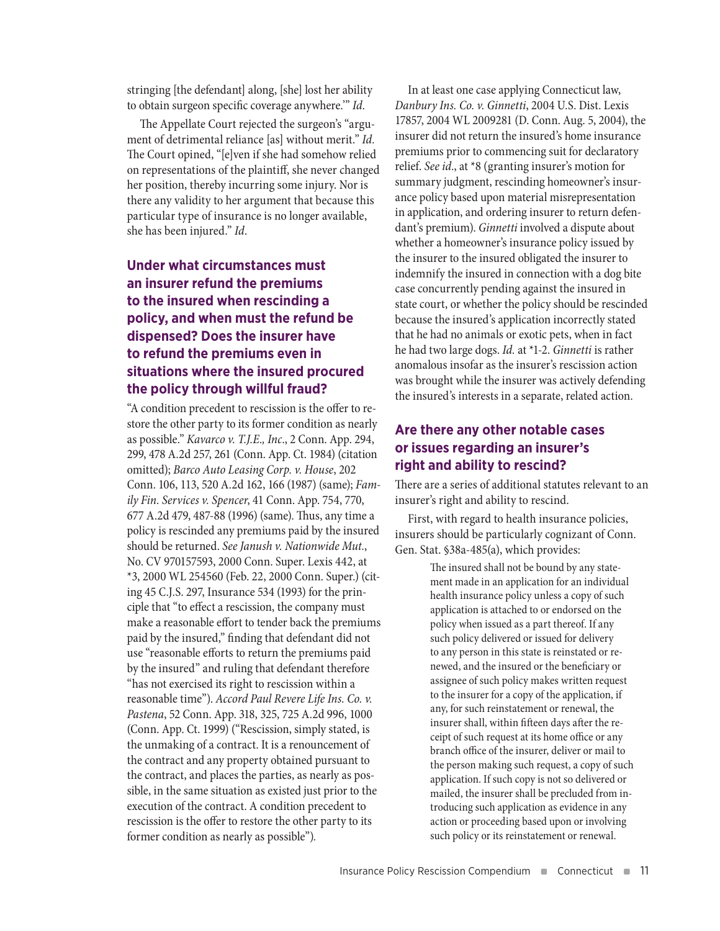stringing [the defendant] along, [she] lost her ability to obtain surgeon specific coverage anywhere.'" *Id*.

The Appellate Court rejected the surgeon's "argument of detrimental reliance [as] without merit." *Id.* The Court opined, "[e]ven if she had somehow relied on representations of the plaintiff, she never changed her position, thereby incurring some injury. Nor is there any validity to her argument that because this particular type of insurance is no longer available, she has been injured." *Id*.

# **Under what circumstances must an insurer refund the premiums to the insured when rescinding a policy, and when must the refund be dispensed? Does the insurer have to refund the premiums even in situations where the insured procured the policy through willful fraud?**

"A condition precedent to rescission is the offer to restore the other party to its former condition as nearly as possible." *Kavarco v. T.J.E., Inc*., 2 Conn. App. 294, 299, 478 A.2d 257, 261 (Conn. App. Ct. 1984) (citation omitted); *Barco Auto Leasing Corp. v. House*, 202 Conn. 106, 113, 520 A.2d 162, 166 (1987) (same); *Family Fin. Services v. Spencer*, 41 Conn. App. 754, 770, 677 A.2d 479, 487-88 (1996) (same). Thus, any time a policy is rescinded any premiums paid by the insured should be returned. *See Janush v. Nationwide Mut.*, No. CV 970157593, 2000 Conn. Super. Lexis 442, at \*3, 2000 WL 254560 (Feb. 22, 2000 Conn. Super.) (citing 45 C.J.S. 297, Insurance 534 (1993) for the principle that "to effect a rescission, the company must make a reasonable effort to tender back the premiums paid by the insured," finding that defendant did not use "reasonable efforts to return the premiums paid by the insured" and ruling that defendant therefore "has not exercised its right to rescission within a reasonable time"). *Accord Paul Revere Life Ins. Co. v. Pastena*, 52 Conn. App. 318, 325, 725 A.2d 996, 1000 (Conn. App. Ct. 1999) ("Rescission, simply stated, is the unmaking of a contract. It is a renouncement of the contract and any property obtained pursuant to the contract, and places the parties, as nearly as possible, in the same situation as existed just prior to the execution of the contract. A condition precedent to rescission is the offer to restore the other party to its former condition as nearly as possible")*.*

In at least one case applying Connecticut law, *Danbury Ins. Co. v. Ginnetti*, 2004 U.S. Dist. Lexis 17857, 2004 WL 2009281 (D. Conn. Aug. 5, 2004), the insurer did not return the insured's home insurance premiums prior to commencing suit for declaratory relief. *See id*., at \*8 (granting insurer's motion for summary judgment, rescinding homeowner's insurance policy based upon material misrepresentation in application, and ordering insurer to return defendant's premium). *Ginnetti* involved a dispute about whether a homeowner's insurance policy issued by the insurer to the insured obligated the insurer to indemnify the insured in connection with a dog bite case concurrently pending against the insured in state court, or whether the policy should be rescinded because the insured's application incorrectly stated that he had no animals or exotic pets, when in fact he had two large dogs. *Id.* at \*1-2. *Ginnetti* is rather anomalous insofar as the insurer's rescission action was brought while the insurer was actively defending the insured's interests in a separate, related action.

# **Are there any other notable cases or issues regarding an insurer's right and ability to rescind?**

There are a series of additional statutes relevant to an insurer's right and ability to rescind.

First, with regard to health insurance policies, insurers should be particularly cognizant of Conn. Gen. Stat. §38a-485(a), which provides:

> The insured shall not be bound by any statement made in an application for an individual health insurance policy unless a copy of such application is attached to or endorsed on the policy when issued as a part thereof. If any such policy delivered or issued for delivery to any person in this state is reinstated or renewed, and the insured or the beneficiary or assignee of such policy makes written request to the insurer for a copy of the application, if any, for such reinstatement or renewal, the insurer shall, within fifteen days after the receipt of such request at its home office or any branch office of the insurer, deliver or mail to the person making such request, a copy of such application. If such copy is not so delivered or mailed, the insurer shall be precluded from introducing such application as evidence in any action or proceeding based upon or involving such policy or its reinstatement or renewal.